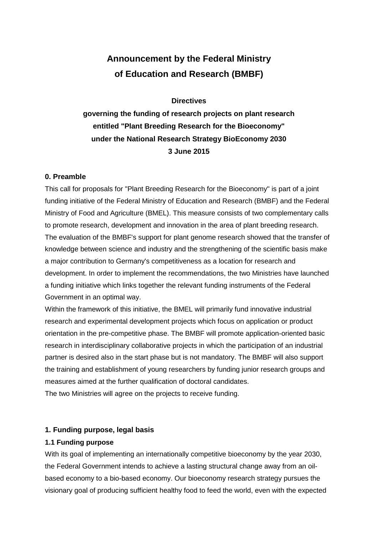# **Announcement by the Federal Ministry of Education and Research (BMBF)**

#### **Directives**

**governing the funding of research projects on plant research entitled "Plant Breeding Research for the Bioeconomy" under the National Research Strategy BioEconomy 2030 3 June 2015**

#### **0. Preamble**

This call for proposals for "Plant Breeding Research for the Bioeconomy" is part of a joint funding initiative of the Federal Ministry of Education and Research (BMBF) and the Federal Ministry of Food and Agriculture (BMEL). This measure consists of two complementary calls to promote research, development and innovation in the area of plant breeding research. The evaluation of the BMBF's support for plant genome research showed that the transfer of knowledge between science and industry and the strengthening of the scientific basis make a major contribution to Germany's competitiveness as a location for research and development. In order to implement the recommendations, the two Ministries have launched a funding initiative which links together the relevant funding instruments of the Federal Government in an optimal way.

Within the framework of this initiative, the BMEL will primarily fund innovative industrial research and experimental development projects which focus on application or product orientation in the pre-competitive phase. The BMBF will promote application-oriented basic research in interdisciplinary collaborative projects in which the participation of an industrial partner is desired also in the start phase but is not mandatory. The BMBF will also support the training and establishment of young researchers by funding junior research groups and measures aimed at the further qualification of doctoral candidates.

The two Ministries will agree on the projects to receive funding.

#### **1. Funding purpose, legal basis**

#### **1.1 Funding purpose**

With its goal of implementing an internationally competitive bioeconomy by the year 2030, the Federal Government intends to achieve a lasting structural change away from an oilbased economy to a bio-based economy. Our bioeconomy research strategy pursues the visionary goal of producing sufficient healthy food to feed the world, even with the expected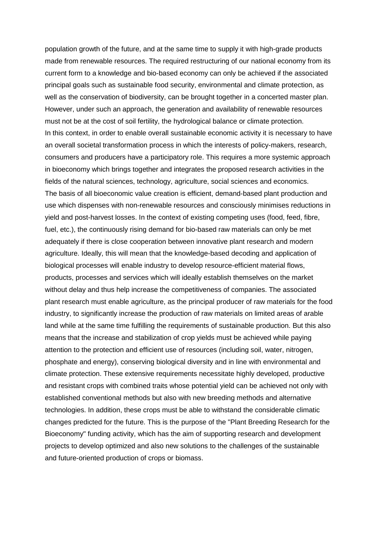population growth of the future, and at the same time to supply it with high-grade products made from renewable resources. The required restructuring of our national economy from its current form to a knowledge and bio-based economy can only be achieved if the associated principal goals such as sustainable food security, environmental and climate protection, as well as the conservation of biodiversity, can be brought together in a concerted master plan. However, under such an approach, the generation and availability of renewable resources must not be at the cost of soil fertility, the hydrological balance or climate protection. In this context, in order to enable overall sustainable economic activity it is necessary to have an overall societal transformation process in which the interests of policy-makers, research, consumers and producers have a participatory role. This requires a more systemic approach in bioeconomy which brings together and integrates the proposed research activities in the fields of the natural sciences, technology, agriculture, social sciences and economics. The basis of all bioeconomic value creation is efficient, demand-based plant production and use which dispenses with non-renewable resources and consciously minimises reductions in yield and post-harvest losses. In the context of existing competing uses (food, feed, fibre, fuel, etc.), the continuously rising demand for bio-based raw materials can only be met adequately if there is close cooperation between innovative plant research and modern agriculture. Ideally, this will mean that the knowledge-based decoding and application of biological processes will enable industry to develop resource-efficient material flows, products, processes and services which will ideally establish themselves on the market without delay and thus help increase the competitiveness of companies. The associated plant research must enable agriculture, as the principal producer of raw materials for the food industry, to significantly increase the production of raw materials on limited areas of arable land while at the same time fulfilling the requirements of sustainable production. But this also means that the increase and stabilization of crop yields must be achieved while paying attention to the protection and efficient use of resources (including soil, water, nitrogen, phosphate and energy), conserving biological diversity and in line with environmental and climate protection. These extensive requirements necessitate highly developed, productive and resistant crops with combined traits whose potential yield can be achieved not only with established conventional methods but also with new breeding methods and alternative technologies. In addition, these crops must be able to withstand the considerable climatic changes predicted for the future. This is the purpose of the "Plant Breeding Research for the Bioeconomy" funding activity, which has the aim of supporting research and development projects to develop optimized and also new solutions to the challenges of the sustainable and future-oriented production of crops or biomass.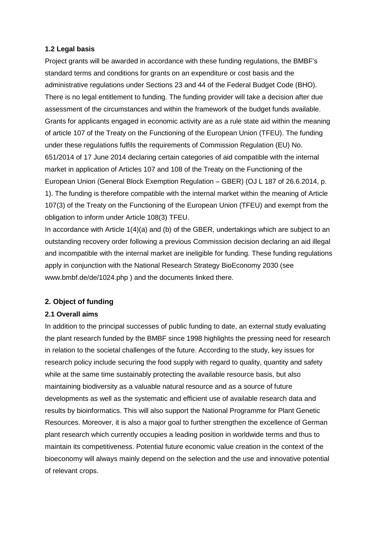#### **1.2 Legal basis**

Project grants will be awarded in accordance with these funding regulations, the BMBF's standard terms and conditions for grants on an expenditure or cost basis and the administrative regulations under Sections 23 and 44 of the Federal Budget Code (BHO). There is no legal entitlement to funding. The funding provider will take a decision after due assessment of the circumstances and within the framework of the budget funds available. Grants for applicants engaged in economic activity are as a rule state aid within the meaning of article 107 of the Treaty on the Functioning of the European Union (TFEU). The funding under these regulations fulfils the requirements of Commission Regulation (EU) No. 651/2014 of 17 June 2014 declaring certain categories of aid compatible with the internal market in application of Articles 107 and 108 of the Treaty on the Functioning of the European Union (General Block Exemption Regulation – GBER) (OJ L 187 of 26.6.2014, p. 1). The funding is therefore compatible with the internal market within the meaning of Article 107(3) of the Treaty on the Functioning of the European Union (TFEU) and exempt from the obligation to inform under Article 108(3) TFEU.

In accordance with Article 1(4)(a) and (b) of the GBER, undertakings which are subject to an outstanding recovery order following a previous Commission decision declaring an aid illegal and incompatible with the internal market are ineligible for funding. These funding regulations apply in conjunction with the National Research Strategy BioEconomy 2030 (see www.bmbf.de/de/1024.php ) and the documents linked there.

#### **2. Object of funding**

#### **2.1 Overall aims**

In addition to the principal successes of public funding to date, an external study evaluating the plant research funded by the BMBF since 1998 highlights the pressing need for research in relation to the societal challenges of the future. According to the study, key issues for research policy include securing the food supply with regard to quality, quantity and safety while at the same time sustainably protecting the available resource basis, but also maintaining biodiversity as a valuable natural resource and as a source of future developments as well as the systematic and efficient use of available research data and results by bioinformatics. This will also support the National Programme for Plant Genetic Resources. Moreover, it is also a major goal to further strengthen the excellence of German plant research which currently occupies a leading position in worldwide terms and thus to maintain its competitiveness. Potential future economic value creation in the context of the bioeconomy will always mainly depend on the selection and the use and innovative potential of relevant crops.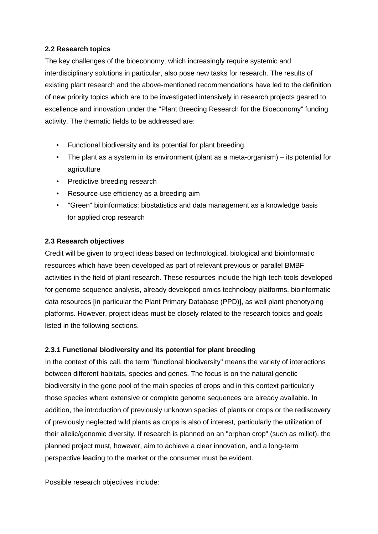#### **2.2 Research topics**

The key challenges of the bioeconomy, which increasingly require systemic and interdisciplinary solutions in particular, also pose new tasks for research. The results of existing plant research and the above-mentioned recommendations have led to the definition of new priority topics which are to be investigated intensively in research projects geared to excellence and innovation under the "Plant Breeding Research for the Bioeconomy" funding activity. The thematic fields to be addressed are:

- Functional biodiversity and its potential for plant breeding.
- The plant as a system in its environment (plant as a meta-organism) its potential for agriculture
- Predictive breeding research
- Resource-use efficiency as a breeding aim
- "Green" bioinformatics: biostatistics and data management as a knowledge basis for applied crop research

#### **2.3 Research objectives**

Credit will be given to project ideas based on technological, biological and bioinformatic resources which have been developed as part of relevant previous or parallel BMBF activities in the field of plant research. These resources include the high-tech tools developed for genome sequence analysis, already developed omics technology platforms, bioinformatic data resources [in particular the Plant Primary Database (PPD)], as well plant phenotyping platforms. However, project ideas must be closely related to the research topics and goals listed in the following sections.

#### **2.3.1 Functional biodiversity and its potential for plant breeding**

In the context of this call, the term "functional biodiversity" means the variety of interactions between different habitats, species and genes. The focus is on the natural genetic biodiversity in the gene pool of the main species of crops and in this context particularly those species where extensive or complete genome sequences are already available. In addition, the introduction of previously unknown species of plants or crops or the rediscovery of previously neglected wild plants as crops is also of interest, particularly the utilization of their allelic/genomic diversity. If research is planned on an "orphan crop" (such as millet), the planned project must, however, aim to achieve a clear innovation, and a long-term perspective leading to the market or the consumer must be evident.

Possible research objectives include: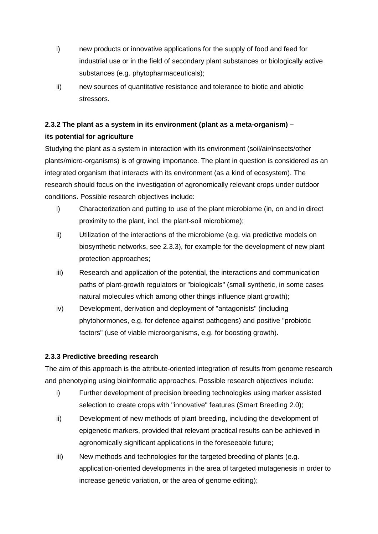- i) new products or innovative applications for the supply of food and feed for industrial use or in the field of secondary plant substances or biologically active substances (e.g. phytopharmaceuticals);
- ii) new sources of quantitative resistance and tolerance to biotic and abiotic stressors.

# **2.3.2 The plant as a system in its environment (plant as a meta-organism) – its potential for agriculture**

Studying the plant as a system in interaction with its environment (soil/air/insects/other plants/micro-organisms) is of growing importance. The plant in question is considered as an integrated organism that interacts with its environment (as a kind of ecosystem). The research should focus on the investigation of agronomically relevant crops under outdoor conditions. Possible research objectives include:

- i) Characterization and putting to use of the plant microbiome (in, on and in direct proximity to the plant, incl. the plant-soil microbiome);
- ii) Utilization of the interactions of the microbiome (e.g. via predictive models on biosynthetic networks, see 2.3.3), for example for the development of new plant protection approaches;
- iii) Research and application of the potential, the interactions and communication paths of plant-growth regulators or "biologicals" (small synthetic, in some cases natural molecules which among other things influence plant growth);
- iv) Development, derivation and deployment of "antagonists" (including phytohormones, e.g. for defence against pathogens) and positive "probiotic factors" (use of viable microorganisms, e.g. for boosting growth).

## **2.3.3 Predictive breeding research**

The aim of this approach is the attribute-oriented integration of results from genome research and phenotyping using bioinformatic approaches. Possible research objectives include:

- i) Further development of precision breeding technologies using marker assisted selection to create crops with "innovative" features (Smart Breeding 2.0);
- ii) Development of new methods of plant breeding, including the development of epigenetic markers, provided that relevant practical results can be achieved in agronomically significant applications in the foreseeable future;
- iii) New methods and technologies for the targeted breeding of plants (e.g. application-oriented developments in the area of targeted mutagenesis in order to increase genetic variation, or the area of genome editing);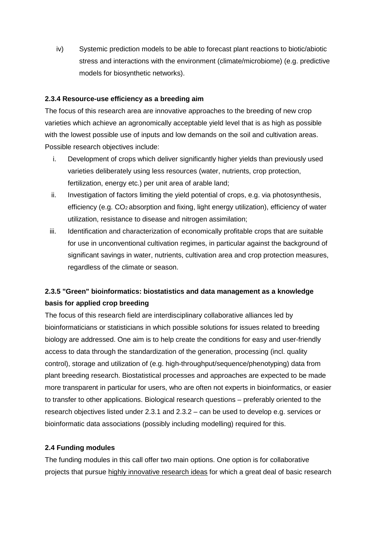iv) Systemic prediction models to be able to forecast plant reactions to biotic/abiotic stress and interactions with the environment (climate/microbiome) (e.g. predictive models for biosynthetic networks).

#### **2.3.4 Resource-use efficiency as a breeding aim**

The focus of this research area are innovative approaches to the breeding of new crop varieties which achieve an agronomically acceptable yield level that is as high as possible with the lowest possible use of inputs and low demands on the soil and cultivation areas. Possible research objectives include:

- i. Development of crops which deliver significantly higher yields than previously used varieties deliberately using less resources (water, nutrients, crop protection, fertilization, energy etc.) per unit area of arable land;
- ii. Investigation of factors limiting the yield potential of crops, e.g. via photosynthesis, efficiency (e.g. CO2 absorption and fixing, light energy utilization), efficiency of water utilization, resistance to disease and nitrogen assimilation;
- iii. Identification and characterization of economically profitable crops that are suitable for use in unconventional cultivation regimes, in particular against the background of significant savings in water, nutrients, cultivation area and crop protection measures, regardless of the climate or season.

# **2.3.5 "Green" bioinformatics: biostatistics and data management as a knowledge basis for applied crop breeding**

The focus of this research field are interdisciplinary collaborative alliances led by bioinformaticians or statisticians in which possible solutions for issues related to breeding biology are addressed. One aim is to help create the conditions for easy and user-friendly access to data through the standardization of the generation, processing (incl. quality control), storage and utilization of (e.g. high-throughput/sequence/phenotyping) data from plant breeding research. Biostatistical processes and approaches are expected to be made more transparent in particular for users, who are often not experts in bioinformatics, or easier to transfer to other applications. Biological research questions – preferably oriented to the research objectives listed under 2.3.1 and 2.3.2 – can be used to develop e.g. services or bioinformatic data associations (possibly including modelling) required for this.

#### **2.4 Funding modules**

The funding modules in this call offer two main options. One option is for collaborative projects that pursue highly innovative research ideas for which a great deal of basic research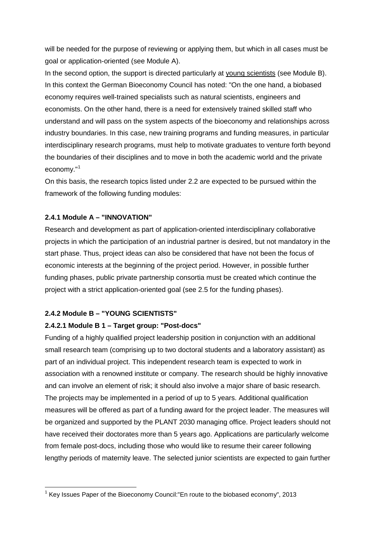will be needed for the purpose of reviewing or applying them, but which in all cases must be goal or application-oriented (see Module A).

In the second option, the support is directed particularly at young scientists (see Module B). In this context the German Bioeconomy Council has noted: "On the one hand, a biobased economy requires well-trained specialists such as natural scientists, engineers and economists. On the other hand, there is a need for extensively trained skilled staff who understand and will pass on the system aspects of the bioeconomy and relationships across industry boundaries. In this case, new training programs and funding measures, in particular interdisciplinary research programs, must help to motivate graduates to venture forth beyond the boundaries of their disciplines and to move in both the academic world and the private economy."<sup>[1](#page-6-0)</sup>

On this basis, the research topics listed under 2.2 are expected to be pursued within the framework of the following funding modules:

#### **2.4.1 Module A – "INNOVATION"**

Research and development as part of application-oriented interdisciplinary collaborative projects in which the participation of an industrial partner is desired, but not mandatory in the start phase. Thus, project ideas can also be considered that have not been the focus of economic interests at the beginning of the project period. However, in possible further funding phases, public private partnership consortia must be created which continue the project with a strict application-oriented goal (see 2.5 for the funding phases).

#### **2.4.2 Module B – "YOUNG SCIENTISTS"**

#### **2.4.2.1 Module B 1 – Target group: "Post-docs"**

Funding of a highly qualified project leadership position in conjunction with an additional small research team (comprising up to two doctoral students and a laboratory assistant) as part of an individual project. This independent research team is expected to work in association with a renowned institute or company. The research should be highly innovative and can involve an element of risk; it should also involve a major share of basic research. The projects may be implemented in a period of up to 5 years. Additional qualification measures will be offered as part of a funding award for the project leader. The measures will be organized and supported by the PLANT 2030 managing office. Project leaders should not have received their doctorates more than 5 years ago. Applications are particularly welcome from female post-docs, including those who would like to resume their career following lengthy periods of maternity leave. The selected junior scientists are expected to gain further

<span id="page-6-0"></span> $1$  Key Issues Paper of the Bioeconomy Council: "En route to the biobased economy", 2013  $\overline{a}$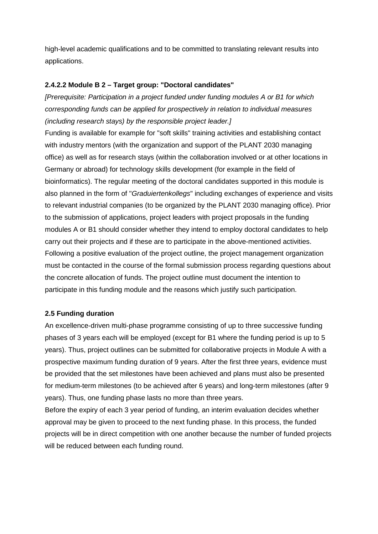high-level academic qualifications and to be committed to translating relevant results into applications.

#### **2.4.2.2 Module B 2 – Target group: "Doctoral candidates"**

*[Prerequisite: Participation in a project funded under funding modules A or B1 for which corresponding funds can be applied for prospectively in relation to individual measures (including research stays) by the responsible project leader.]* 

Funding is available for example for "soft skills" training activities and establishing contact with industry mentors (with the organization and support of the PLANT 2030 managing office) as well as for research stays (within the collaboration involved or at other locations in Germany or abroad) for technology skills development (for example in the field of bioinformatics). The regular meeting of the doctoral candidates supported in this module is also planned in the form of "*Graduiertenkollegs*" including exchanges of experience and visits to relevant industrial companies (to be organized by the PLANT 2030 managing office). Prior to the submission of applications, project leaders with project proposals in the funding modules A or B1 should consider whether they intend to employ doctoral candidates to help carry out their projects and if these are to participate in the above-mentioned activities. Following a positive evaluation of the project outline, the project management organization must be contacted in the course of the formal submission process regarding questions about the concrete allocation of funds. The project outline must document the intention to participate in this funding module and the reasons which justify such participation.

#### **2.5 Funding duration**

An excellence-driven multi-phase programme consisting of up to three successive funding phases of 3 years each will be employed (except for B1 where the funding period is up to 5 years). Thus, project outlines can be submitted for collaborative projects in Module A with a prospective maximum funding duration of 9 years. After the first three years, evidence must be provided that the set milestones have been achieved and plans must also be presented for medium-term milestones (to be achieved after 6 years) and long-term milestones (after 9 years). Thus, one funding phase lasts no more than three years.

Before the expiry of each 3 year period of funding, an interim evaluation decides whether approval may be given to proceed to the next funding phase. In this process, the funded projects will be in direct competition with one another because the number of funded projects will be reduced between each funding round.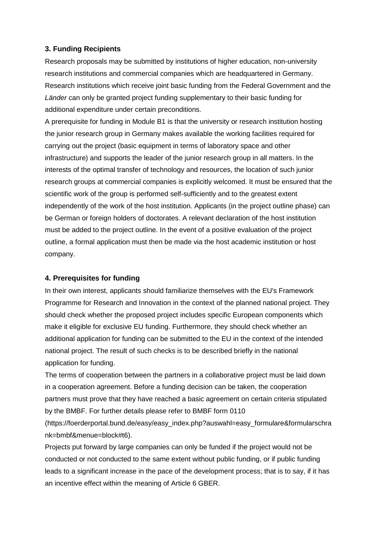#### **3. Funding Recipients**

Research proposals may be submitted by institutions of higher education, non-university research institutions and commercial companies which are headquartered in Germany. Research institutions which receive joint basic funding from the Federal Government and the *Länder* can only be granted project funding supplementary to their basic funding for additional expenditure under certain preconditions.

A prerequisite for funding in Module B1 is that the university or research institution hosting the junior research group in Germany makes available the working facilities required for carrying out the project (basic equipment in terms of laboratory space and other infrastructure) and supports the leader of the junior research group in all matters. In the interests of the optimal transfer of technology and resources, the location of such junior research groups at commercial companies is explicitly welcomed. It must be ensured that the scientific work of the group is performed self-sufficiently and to the greatest extent independently of the work of the host institution. Applicants (in the project outline phase) can be German or foreign holders of doctorates. A relevant declaration of the host institution must be added to the project outline. In the event of a positive evaluation of the project outline, a formal application must then be made via the host academic institution or host company.

#### **4. Prerequisites for funding**

In their own interest, applicants should familiarize themselves with the EU's Framework Programme for Research and Innovation in the context of the planned national project. They should check whether the proposed project includes specific European components which make it eligible for exclusive EU funding. Furthermore, they should check whether an additional application for funding can be submitted to the EU in the context of the intended national project. The result of such checks is to be described briefly in the national application for funding.

The terms of cooperation between the partners in a collaborative project must be laid down in a cooperation agreement. Before a funding decision can be taken, the cooperation partners must prove that they have reached a basic agreement on certain criteria stipulated by the BMBF. For further details please refer to BMBF form 0110

(https://foerderportal.bund.de/easy/easy\_index.php?auswahl=easy\_formulare&formularschra nk=bmbf&menue=block#t6).

Projects put forward by large companies can only be funded if the project would not be conducted or not conducted to the same extent without public funding, or if public funding leads to a significant increase in the pace of the development process; that is to say, if it has an incentive effect within the meaning of Article 6 GBER.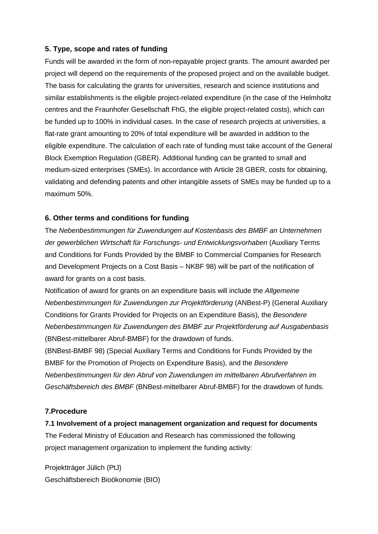#### **5. Type, scope and rates of funding**

Funds will be awarded in the form of non-repayable project grants. The amount awarded per project will depend on the requirements of the proposed project and on the available budget. The basis for calculating the grants for universities, research and science institutions and similar establishments is the eligible project-related expenditure (in the case of the Helmholtz centres and the Fraunhofer Gesellschaft FhG, the eligible project-related costs), which can be funded up to 100% in individual cases. In the case of research projects at universities, a flat-rate grant amounting to 20% of total expenditure will be awarded in addition to the eligible expenditure. The calculation of each rate of funding must take account of the General Block Exemption Regulation (GBER). Additional funding can be granted to small and medium-sized enterprises (SMEs). In accordance with Article 28 GBER, costs for obtaining, validating and defending patents and other intangible assets of SMEs may be funded up to a maximum 50%.

#### **6. Other terms and conditions for funding**

The *Nebenbestimmungen für Zuwendungen auf Kostenbasis des BMBF an Unternehmen der gewerblichen Wirtschaft für Forschungs- und Entwicklungsvorhaben* (Auxiliary Terms and Conditions for Funds Provided by the BMBF to Commercial Companies for Research and Development Projects on a Cost Basis – NKBF 98) will be part of the notification of award for grants on a cost basis.

Notification of award for grants on an expenditure basis will include the *Allgemeine Nebenbestimmungen für Zuwendungen zur Projektförderung* (ANBest-P) (General Auxiliary Conditions for Grants Provided for Projects on an Expenditure Basis), the *Besondere Nebenbestimmungen für Zuwendungen des BMBF zur Projektförderung auf Ausgabenbasis* (BNBest-mittelbarer Abruf-BMBF) for the drawdown of funds.

(BNBest-BMBF 98) (Special Auxiliary Terms and Conditions for Funds Provided by the BMBF for the Promotion of Projects on Expenditure Basis), and the *Besondere Nebenbestimmungen für den Abruf von Zuwendungen im mittelbaren Abrufverfahren im Geschäftsbereich des BMBF* (BNBest-mittelbarer Abruf-BMBF) for the drawdown of funds.

#### **7.Procedure**

**7.1 Involvement of a project management organization and request for documents** The Federal Ministry of Education and Research has commissioned the following project management organization to implement the funding activity:

Projektträger Jülich (PtJ) Geschäftsbereich Bioökonomie (BIO)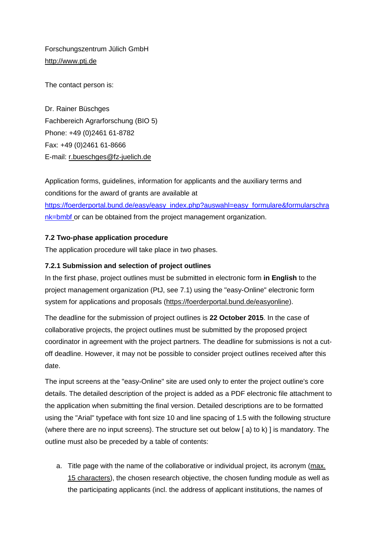Forschungszentrum Jülich GmbH [http://www.ptj.de](http://www.ptj.de/)

The contact person is:

Dr. Rainer Büschges Fachbereich Agrarforschung (BIO 5) Phone: +49 (0)2461 61-8782 Fax: +49 (0)2461 61-8666 E-mail: r.bueschges@fz-juelich.de

Application forms, guidelines, information for applicants and the auxiliary terms and conditions for the award of grants are available at [https://foerderportal.bund.de/easy/easy\\_index.php?auswahl=easy\\_formulare&formularschra](https://foerderportal.bund.de/easy/easy_index.php?auswahl=easy_formulare&formularschrank=bmbf)

[nk=bmbf](https://foerderportal.bund.de/easy/easy_index.php?auswahl=easy_formulare&formularschrank=bmbf) or can be obtained from the project management organization.

#### **7.2 Two-phase application procedure**

The application procedure will take place in two phases.

#### **7.2.1 Submission and selection of project outlines**

In the first phase, project outlines must be submitted in electronic form **in English** to the project management organization (PtJ, see 7.1) using the "easy-Online" electronic form system for applications and proposals (https://foerderportal.bund.de/easyonline).

The deadline for the submission of project outlines is **22 October 2015**. In the case of collaborative projects, the project outlines must be submitted by the proposed project coordinator in agreement with the project partners. The deadline for submissions is not a cutoff deadline. However, it may not be possible to consider project outlines received after this date.

The input screens at the "easy-Online" site are used only to enter the project outline's core details. The detailed description of the project is added as a PDF electronic file attachment to the application when submitting the final version. Detailed descriptions are to be formatted using the "Arial" typeface with font size 10 and line spacing of 1.5 with the following structure (where there are no input screens). The structure set out below [ a) to k) ] is mandatory. The outline must also be preceded by a table of contents:

a. Title page with the name of the collaborative or individual project, its acronym (max. 15 characters), the chosen research objective, the chosen funding module as well as the participating applicants (incl. the address of applicant institutions, the names of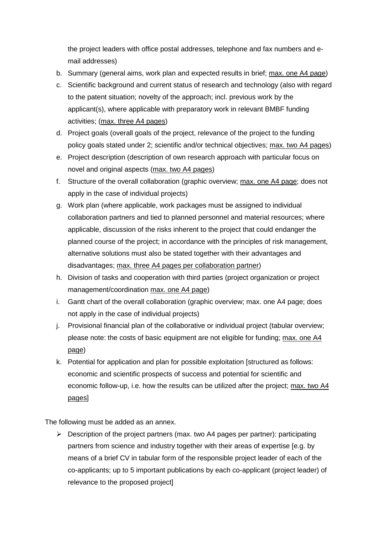the project leaders with office postal addresses, telephone and fax numbers and email addresses)

- b. Summary (general aims, work plan and expected results in brief; max. one A4 page)
- c. Scientific background and current status of research and technology (also with regard to the patent situation; novelty of the approach; incl. previous work by the applicant(s), where applicable with preparatory work in relevant BMBF funding activities; (max. three A4 pages)
- d. Project goals (overall goals of the project, relevance of the project to the funding policy goals stated under 2; scientific and/or technical objectives; max. two A4 pages)
- e. Project description (description of own research approach with particular focus on novel and original aspects (max. two A4 pages)
- f. Structure of the overall collaboration (graphic overview; max. one A4 page; does not apply in the case of individual projects)
- g. Work plan (where applicable, work packages must be assigned to individual collaboration partners and tied to planned personnel and material resources; where applicable, discussion of the risks inherent to the project that could endanger the planned course of the project; in accordance with the principles of risk management, alternative solutions must also be stated together with their advantages and disadvantages; max. three A4 pages per collaboration partner)
- h. Division of tasks and cooperation with third parties (project organization or project management/coordination max. one A4 page)
- i. Gantt chart of the overall collaboration (graphic overview; max. one A4 page; does not apply in the case of individual projects)
- j. Provisional financial plan of the collaborative or individual project (tabular overview; please note: the costs of basic equipment are not eligible for funding; max. one A4 page)
- k. Potential for application and plan for possible exploitation [structured as follows: economic and scientific prospects of success and potential for scientific and economic follow-up, i.e. how the results can be utilized after the project; max. two A4 pages]

The following must be added as an annex.

 $\triangleright$  Description of the project partners (max. two A4 pages per partner): participating partners from science and industry together with their areas of expertise [e.g. by means of a brief CV in tabular form of the responsible project leader of each of the co-applicants; up to 5 important publications by each co-applicant (project leader) of relevance to the proposed project]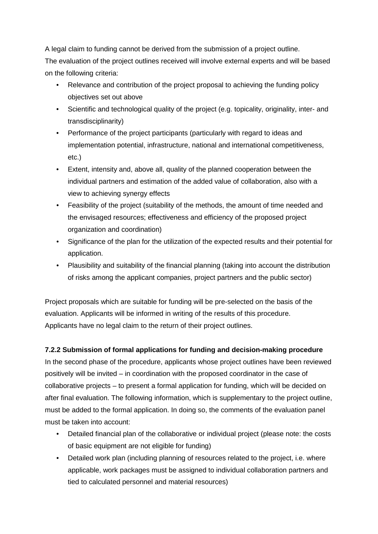A legal claim to funding cannot be derived from the submission of a project outline. The evaluation of the project outlines received will involve external experts and will be based on the following criteria:

- Relevance and contribution of the project proposal to achieving the funding policy objectives set out above
- Scientific and technological quality of the project (e.g. topicality, originality, inter- and transdisciplinarity)
- Performance of the project participants (particularly with regard to ideas and implementation potential, infrastructure, national and international competitiveness, etc.)
- Extent, intensity and, above all, quality of the planned cooperation between the individual partners and estimation of the added value of collaboration, also with a view to achieving synergy effects
- Feasibility of the project (suitability of the methods, the amount of time needed and the envisaged resources; effectiveness and efficiency of the proposed project organization and coordination)
- Significance of the plan for the utilization of the expected results and their potential for application.
- Plausibility and suitability of the financial planning (taking into account the distribution of risks among the applicant companies, project partners and the public sector)

Project proposals which are suitable for funding will be pre-selected on the basis of the evaluation. Applicants will be informed in writing of the results of this procedure. Applicants have no legal claim to the return of their project outlines.

## **7.2.2 Submission of formal applications for funding and decision-making procedure**

In the second phase of the procedure, applicants whose project outlines have been reviewed positively will be invited – in coordination with the proposed coordinator in the case of collaborative projects – to present a formal application for funding, which will be decided on after final evaluation. The following information, which is supplementary to the project outline, must be added to the formal application. In doing so, the comments of the evaluation panel must be taken into account:

- Detailed financial plan of the collaborative or individual project (please note: the costs of basic equipment are not eligible for funding)
- Detailed work plan (including planning of resources related to the project, i.e. where applicable, work packages must be assigned to individual collaboration partners and tied to calculated personnel and material resources)